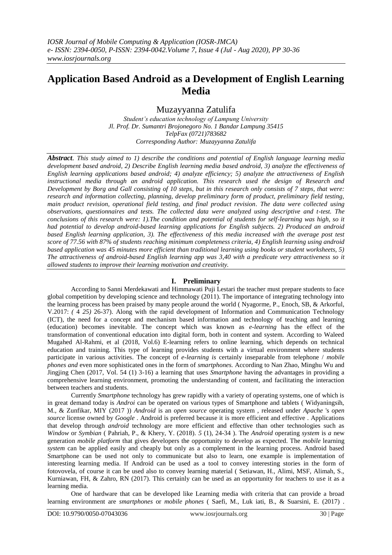# **Application Based Android as a Development of English Learning Media**

Muzayyanna Zatulifa

*Student's education technology of Lampung University Jl. Prof. Dr. Sumantri Brojonegoro No. 1 Bandar Lampung 35415 TelpFax (0721)783682 Corresponding Author: Muzayyanna Zatulifa*

*Abstract. This study aimed to 1) describe the conditions and potential of English language learning media development based android, 2) Describe English learning media based android, 3) analyze the effectiveness of English learning applications based android; 4) analyze efficiency; 5) analyze the attractiveness of English instructional media through an android application. This research used the design of Research and Development by Borg and Gall consisting of 10 steps, but in this research only consists of 7 steps, that were: research and information collecting, planning, develop preliminary form of product, preliminary field testing, main product revision, operational field testing, and final product revision. The data were collected using observations, questionnaires and tests. The collected data were analyzed using descriptive and t-test. The conclusions of this research were: 1).The condition and potential of students for self-learning was high, so it had potential to develop android-based learning applications for English subjects. 2) Produced an android based English learning application, 3). The effectiveness of this media increased with the average post test score of 77.56 with 87% of students reaching minimum completeness criteria, 4) English learning using android based application was 45 minutes more efficient than traditional learning using books or student worksheets, 5) The attractiveness of android-based English learning app was 3,40 with a predicate very attractiveness so it allowed students to improve their learning motivation and creativity.*

## **I. Preliminary**

According to Sanni Merdekawati and Himmawati Puji Lestari the teacher must prepare students to face global competition by developing science and technology (2011). The importance of integrating technology into the learning process has been praised by many people around the world ( Nyagorme, P., Enoch, SB, & Arkorful, V.2017: *(* 4 *25)* 26-37). Along with the rapid development of Information and Communication Technology (ICT), the need for a concept and mechanism based information and technology of teaching and learning (education) becomes inevitable. The concept which was known as *e-learning* has the effect of the transformation of conventional education into digital form, both in content and system. According to Waleed Mugahed Al-Rahmi, et al (2018, Vol.6) E-learning refers to online learning, which depends on technical education and training. This type of learning provides students with a virtual environment where students participate in various activities. The concept of *e-learning is* certainly inseparable from telephone / *mobile phones and* even more sophisticated ones in the form of *smartphones.* According to Nan Zhao, Minghu Wu and Jingjing Chen (2017, Vol. 54 (1) 3-16) a learning that uses *Smartphone* having the advantages in providing a comprehensive learning environment, promoting the understanding of content, and facilitating the interaction between teachers and students.

Currently *Smartphone* technology has grew rapidly with a variety of operating systems, one of which is in great demand today is *Androi* can be operated on various types of Smartphone and tablets ( Widyaningsih, M., & Zunfikar, MIY (2017 )) *Android* is an *open source* operating system *,* released under *Apache* 's *open source* license owned by *Google* . Android is preferred because it is more efficient and effective . Applications that develop through *android* technology are more efficient and effective than other technologies such as *Window* or *Symbian* ( Pahriah, P., & Khery, Y. (2018). *5* (1), 24-34 ). The *Android* operating *system* is *a* new generation *mobile platform* that gives developers the opportunity to develop as expected. The *mobile* learning *system* can be applied easily and cheaply but only as a complement in the learning process. Android based Smartphone can be used not only to communicate but also to learn, one example is implementation of interesting learning media. If Android can be used as a tool to convey interesting stories in the form of fotovovela, of course it can be used also to convey learning material ( Setiawan, H., Alimi, MSF, Alimah, S., Kurniawan, FH, & Zahro, RN (2017). This certainly can be used as an opportunity for teachers to use it as a learning media.

One of hardware that can be developed like Learning media with criteria that can provide a broad learning environment are *smartphones* or *mobile phones* ( Saefi, M., Luk iati, B., & Suarsini, E. (2017) .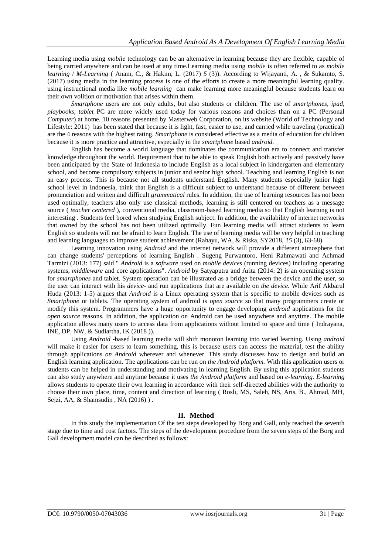Learning media using *mobile* technology can be an alternative in learning because they are flexible, capable of being carried anywhere and can be used at any time.Learning media using *mobile* is often referred to as *mobile learning* / *M-Learning* ( Anam, C., & Hakim, L. (2017) *5* (3)). According to Wijayanti, A. , & Sukamto, S. (2017) using media in the learning process is one of the efforts to create a more meaningful learning quality. using instructional media like *mobile learning* can make learning more meaningful because students learn on their own volition or motivation that arises within them.

*Smartphone* users are not only adults, but also students or children. The use of *smartphones, ipad, playbooks, tablet* PC are more widely used today for various reasons and choices than on a PC (Personal *Computer*) at home. 10 reasons presented by Masterweb Corporation, on its website (World of Technology and Lifestyle: 2011) has been stated that because it is light, fast, easier to use, and carried while traveling (practical) are the 4 reasons with the highest rating. *Smartphone* is considered effective as a media of education for children because it is more practice and attractive, especially in the *smartphone* based *android.*

English has become a world language that dominates the communication era to connect and transfer knowledge throughout the world. Requirement that to be able to speak English both actively and passively have been anticipated by the State of Indonesia to include English as a local subject in kindergarten and elementary school, and become compulsory subjects in junior and senior high school. Teaching and learning English is not an easy process. This is because not all students understand English. Many students especially junior high school level in Indonesia, think that English is a difficult subject to understand because of different between pronunciation and written and difficult *grammatical* rules. In addition, the use of learning resources has not been used optimally, teachers also only use classical methods, learning is still centered on teachers as a message source ( *teacher centered* ), conventional media, classroom-based learning media so that English learning is not interesting . Students feel bored when studying English subject. In addition, the availability of internet networks that owned by the school has not been utilized optimally. Fun learning media will attract students to learn English so students will not be afraid to learn English. The use of learning media will be very helpful in teaching and learning languages to improve student achievement (Rahayu, WA, & Riska, SY2018, *15* (3), 63-68).

Learning innovation using *Android* and the internet network will provide a different atmosphere that can change students' perceptions of learning English . Sugeng Purwantoro, Heni Rahmawati and Achmad Tarmizi (2013: 177) said " *Android* is a *software* used on *mobile devices* (running devices) including operating systems, *middleware* and core applications". *Android* by Satyaputra and Arita (2014: 2) is an operating system for *smartphones* and tablet. System operation can be illustrated as a bridge between the device and the user, so the user can interact with his *device-* and run applications that are available on *the device.* While Arif Akbarul Huda (2013: 1-5) argues that *Android* is a Linux operating system that is specific to mobile devices such as *Smartphone* or tablets. The operating system of android is *open source* so that many programmers create or modify this system. Programmers have a huge opportunity to engage developing *android* applications for the *open source* reasons. In addition, the application on Android can be used anywhere and anytime. The mobile application allows many users to access data from applications without limited to space and time ( Indrayana, INE, DP, NW, & Sudiartha, IK (2018 )).

Using *Android* -based learning media will shift monoton learning into varied learning. Using *android* will make it easier for users to learn something, this is because users can access the material, test the ability through applications *on Android* wherever and whenever. This study discusses how to design and build an English learning application. The applications can be run on *the Android platform.* With this application users or students can be helped in understanding and motivating in learning English. By using this application students can also study anywhere and anytime because it uses *the Android platform* and based on *e-learning. E-learning* allows students to operate their own learning in accordance with their self-directed abilities with the authority to choose their own place, time, content and direction of learning ( Rosli, MS, Saleh, NS, Aris, B., Ahmad, MH, Sejzi, AA, & Shamsudin, NA (2016)).

## **II. Method**

In this study the implementation Of the ten steps developed by Borg and Gall, only reached the seventh stage due to time and cost factors. The steps of the development procedure from the seven steps of the Borg and Gall development model can be described as follows: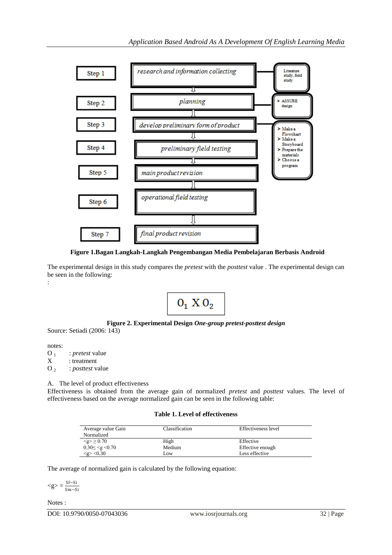

**Figure 1.Bagan Langkah-Langkah Pengembangan Media Pembelajaran Berbasis Android**

The experimental design in this study compares the *pretest* with the *posttest* value . The experimental design can be seen in the following: :



## **Figure 2. Experimental Design** *One-group pretest-posttest design*

Source: Setiadi (2006: 143)

notes: O<sub>1</sub> : *pretest* value<br>X : treatment : treatment

O 2 : *posttest* value

A. The level of product effectiveness

Effectiveness is obtained from the average gain of normalized *pretest* and *posttest* values. The level of effectiveness based on the average normalized gain can be seen in the following table:

#### **Table 1. Level of effectiveness**

| Average value Gain<br>Normalized | Classification | Effectiveness level |
|----------------------------------|----------------|---------------------|
| $\leq g > 0.70$                  | High           | Effective           |
| $0.30 \leq \leq g \leq 0.70$     | Medium         | Effective enough    |
| $< g$ $>$ $< 0.30$               | Low            | Less effective      |

The average of normalized gain is calculated by the following equation:

 $\langle g \rangle = \frac{Sf-Si}{S}$ Sm−Si

Notes :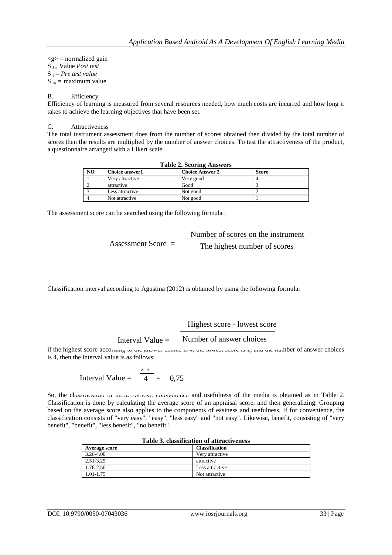$\langle g \rangle$  = normalized gain S f = Value *Post test* S <sup>i</sup> = *Pre test value*  $S_m$  = maximum value

#### B. Efficiency

Efficiency of learning is measured from several resources needed, how much costs are incurred and how long it takes to achieve the learning objectives that have been set.

#### C. Attractiveness

The total instrument assessment does from the number of scores obtained then divided by the total number of scores then the results are multiplied by the number of answer choices. To test the attractiveness of the product, a questionnaire arranged with a Likert scale.

| <b>Table 2. Scoring Answers</b> |                       |                        |              |  |
|---------------------------------|-----------------------|------------------------|--------------|--|
| N <sub>O</sub>                  | <b>Choice answer1</b> | <b>Choice Answer 2</b> | <b>Score</b> |  |
|                                 | Very attractive       | Very good              |              |  |
|                                 | attractive            | Good                   |              |  |
|                                 | Less attractive       | Not good               |              |  |
|                                 | Not attractive        | Not good               |              |  |

The assessment score can be searched using the following formula :

|                      | Number of scores on the instrument |
|----------------------|------------------------------------|
| Assessment Score $=$ | The highest number of scores       |

Classification interval according to Agustina (2012) is obtained by using the following formula:

Highest score - lowest score

Interval Value  $=$ Number of answer choices

if the highest score according to the answer choice is 7, the lowest secrets 1, and the number of answer choices is 4, then the interval value is as follows:

Interval Value = 
$$
\frac{4}{4} = 0.75
$$

So, the classification of attractiveness, convenience and usefulness of the media is obtained as in Table 2. Classification is done by calculating the average score of an appraisal score, and then generalizing. Grouping based on the average score also applies to the components of easiness and usefulness. If for convenience, the classification consists of "very easy", "easy", "less easy" and "not easy". Likewise, benefit, consisting of "very benefit", "benefit", "less benefit", "no benefit".

| тами от споятнеатми от аничен спея |                       |  |
|------------------------------------|-----------------------|--|
| <b>Average score</b>               | <b>Classification</b> |  |
| $3.26 - 4.00$                      | Very attractive       |  |
| 2.51-3.25                          | attractive            |  |
| 1.76-2.50                          | Less attractive       |  |
| 1.01-1.75                          | Not attractive        |  |

### **Table 3. classification of attractiveness**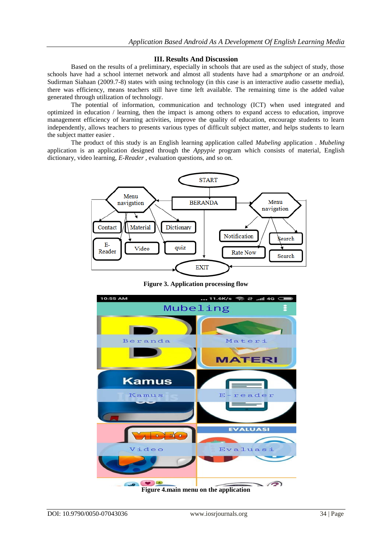## **III. Results And Discussion**

Based on the results of a preliminary, especially in schools that are used as the subject of study, those schools have had a school internet network and almost all students have had a *smartphone* or an *android.* Sudirman Siahaan (2009.7-8) states with using technology (in this case is an interactive audio cassette media), there was efficiency, means teachers still have time left available. The remaining time is the added value generated through utilization of technology.

The potential of information, communication and technology (ICT) when used integrated and optimized in education / learning, then the impact is among others to expand access to education, improve management efficiency of learning activities, improve the quality of education, encourage students to learn independently, allows teachers to presents various types of difficult subject matter, and helps students to learn the subject matter easier .

The product of this study is an English learning application called *Mubeling* application *. Mubeling* application is an application designed through the *Appypie* program which consists of material, English dictionary, video learning, *E-Reader* , evaluation questions, and so on.



**Figure 3. Application processing flow**



DOI: 10.9790/0050-07043036 www.iosrjournals.org 34 | Page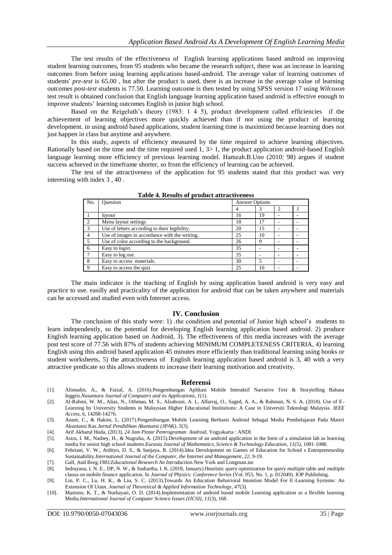The test results of the effectiveness of English learning applications based android on improving student learning outcomes, from 95 students who became the research subject, there was an increase in learning outcomes from before using learning applications based-android. The average value of learning outcomes of students' *pre-test* is 65.00 , but after the product is used, there is an increase in the average value of learning outcomes *post-test* students is 77.50. Learning outcome is then tested by using SPSS version 17 using *Wilcoxon* test result is obtained conclusion that English language learning application based android is effective enough to improve students' learning outcomes English in junior high school.

Based on the Reigeluth's theory (1983: 1 4 5), product development called efficiencies if the achievement of learning objectives more quickly achieved than if not using the product of learning development. in using android based applications, student learning time is maximized because learning does not just happen in class but anytime and anywhere.

In this study, aspects of efficiency measured by the time required to achieve learning objectives. Rationally based on the time and the time required used 1, 3> 1, the product application android-based English language learning more efficiency of previous learning model. Hamzah.B.Uno (2010: 98) argues if student success achieved in the timeframe shorter, so from the efficiency of learning can be achieved.

The test of the attractiveness of the application for 95 students stated that this product was very interesting with index 3 , 40 .

| No.           | <b>Ouestion</b>                               | Answer Options |    |  |  |
|---------------|-----------------------------------------------|----------------|----|--|--|
|               |                                               |                |    |  |  |
|               | layout                                        | 16             | 19 |  |  |
| $\mathcal{D}$ | Menu layout settings                          | 18             | 17 |  |  |
| 3             | Use of letters according to their legibility. | 20             | 15 |  |  |
| 4             | Use of images in accordance with the writing. | 25             | 10 |  |  |
|               | Use of color according to the background.     | 26             | Q  |  |  |
| 6             | Easy to login.                                | 35             |    |  |  |
|               | Easy to log <i>out</i> .                      | 35             |    |  |  |
| 8             | Easy to access materials.                     | 30             |    |  |  |
| $\mathbf Q$   | Easy to access the quiz.                      | 25             | 10 |  |  |

**Table 4. Results of product attractiveness**

The main indicator is the teaching of English by using application based android is very easy and practice to use. easilly and practicality of the application for android that can be taken anywhere and materials can be accessed and studied even with Internet access.

#### **IV. Conclusion**

The conclusion of this study were: 1) .the condition and potential of Junior high school's students to learn independently, so the potential for developing English learning application based android. 2) produce English learning application based on Android, 3). The effectiveness of this media increases with the average post test score of 77.56 with 87% of students achieving MINIMUM COMPLETENESS CRITERIA, 4) learning English using this android based application 45 minutes more efficiently than traditional learning using books or student worksheets, 5) the attractiveness of English learning application based android is 3, 40 with a very attractive predicate so this allows students to increase their learning motivation and creativity.

#### **Referensi**

- [1]. Alimudin, A., & Faizal, A. (2016).Pengembangan Aplikasi Mobile Interaktif Narrative Text & Storytelling Bahasa Inggris.*Nusantara Journal of Computers and its Applications*, *1*(1).
- [2]. Al-Rahmi, W. M., Alias, N., Othman, M. S., Alzahrani, A. I., Alfarraj, O., Saged, A. A., & Rahman, N. S. A. (2018). Use of E-Learning by University Students in Malaysian Higher Educational Institutions: A Case in Universiti Teknologi Malaysia. *IEEE Access*, *6*, 14268-14276.
- [3]. Anam, C., & Hakim, L. (2017).Pengembangan Mobile Learning Berbasis Android Sebagai Media Pembelajaran Pada Materi Akuntansi Kas.*Jurnal Pendidikan Akuntansi (JPAK)*, *5*(3).
- [4]. Arif Akbarul Huda, (2013), *24 Jam Pintar Pemrograman Android*, Yogyakarta : ANDI.
- [5]. Astra, I. M., Nasbey, H., & Nugraha, A. (2015).Development of an android application in the form of a simulation lab as learning media for senior high school students.*Eurasia Journal of Mathematics, Science & Technology Education*, *11*(5), 1081-1088.
- [6]. Febriani, V. W., Ardityo, D. S., & Sanjaya, R. (2014).Idea Development on Games of Education for School s Entrepreneurship Sustainability.*International Journal of the Computer, the Internet and Management*, *22*, 9-19.
- [7]. Gall, And Borg.1983.*Educational Research An Introduction.*New York and Longman.inc
- [8]. Indrayana, I. N. E., DP, N. W., & Sudiartha, I. K. (2018, January).Heuristic query optimization for query multiple table and multiple clausa on mobile finance application. In *Journal of Physics: Conference Series* (Vol. 953, No. 1, p. 012049). IOP Publishing.
- [9]. Lin, P. C., Lu, H. K., & Liu, S. C. (2013).Towards An Education Behavioral Intention Model For E-Learning Systems: An Extension Of Utaut. *Journal of Theoretical & Applied Information Technology*, *47*(3).
- [10]. Martono, K. T., & Nurhayati, O. D. (2014).Implementation of android based mobile Learning application as a flexible learning Media.*International Journal of Computer Science Issues (IJCSI)*, *11*(3), 168.